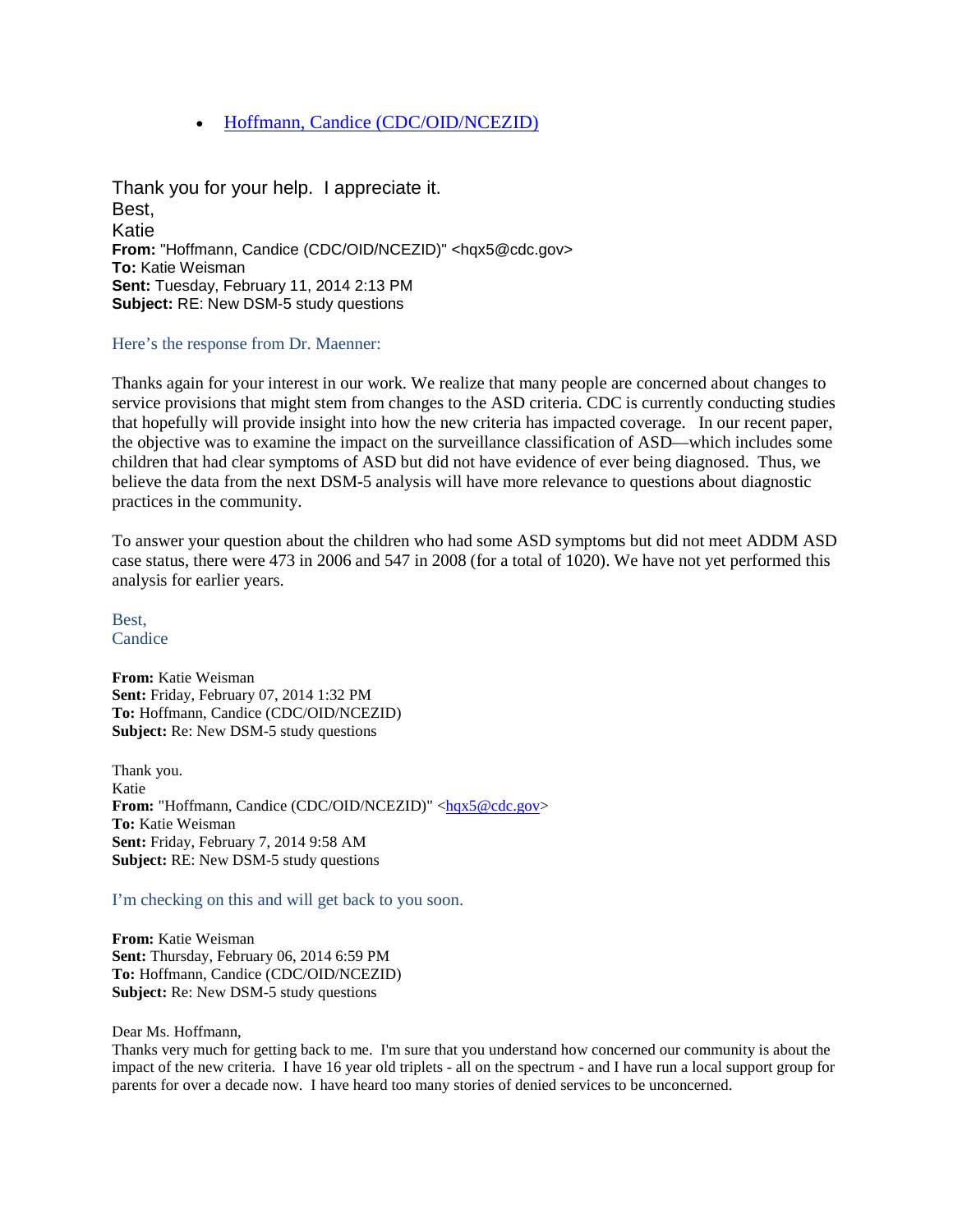• [Hoffmann, Candice \(CDC/OID/NCEZID\)](https://us-mg205.mail.yahoo.com/neo/launch?.partner=sbc&.rand=e7prh63bcr4it)

Thank you for your help. I appreciate it. Best, Katie **From:** "Hoffmann, Candice (CDC/OID/NCEZID)" <hqx5@cdc.gov> **To:** Katie Weisman **Sent:** Tuesday, February 11, 2014 2:13 PM **Subject:** RE: New DSM-5 study questions

Here's the response from Dr. Maenner:

Thanks again for your interest in our work. We realize that many people are concerned about changes to service provisions that might stem from changes to the ASD criteria. CDC is currently conducting studies that hopefully will provide insight into how the new criteria has impacted coverage. In our recent paper, the objective was to examine the impact on the surveillance classification of ASD—which includes some children that had clear symptoms of ASD but did not have evidence of ever being diagnosed. Thus, we believe the data from the next DSM-5 analysis will have more relevance to questions about diagnostic practices in the community.

To answer your question about the children who had some ASD symptoms but did not meet ADDM ASD case status, there were 473 in 2006 and 547 in 2008 (for a total of 1020). We have not yet performed this analysis for earlier years.

Best, **Candice** 

**From:** Katie Weisman **Sent:** Friday, February 07, 2014 1:32 PM **To:** Hoffmann, Candice (CDC/OID/NCEZID) **Subject:** Re: New DSM-5 study questions

Thank you. Katie **From:** "Hoffmann, Candice (CDC/OID/NCEZID)" [<hqx5@cdc.gov>](mailto:hqx5@cdc.gov) **To:** Katie Weisman **Sent:** Friday, February 7, 2014 9:58 AM **Subject:** RE: New DSM-5 study questions

I'm checking on this and will get back to you soon.

**From:** Katie Weisman **Sent:** Thursday, February 06, 2014 6:59 PM **To:** Hoffmann, Candice (CDC/OID/NCEZID) **Subject:** Re: New DSM-5 study questions

## Dear Ms. Hoffmann,

Thanks very much for getting back to me. I'm sure that you understand how concerned our community is about the impact of the new criteria. I have 16 year old triplets - all on the spectrum - and I have run a local support group for parents for over a decade now. I have heard too many stories of denied services to be unconcerned.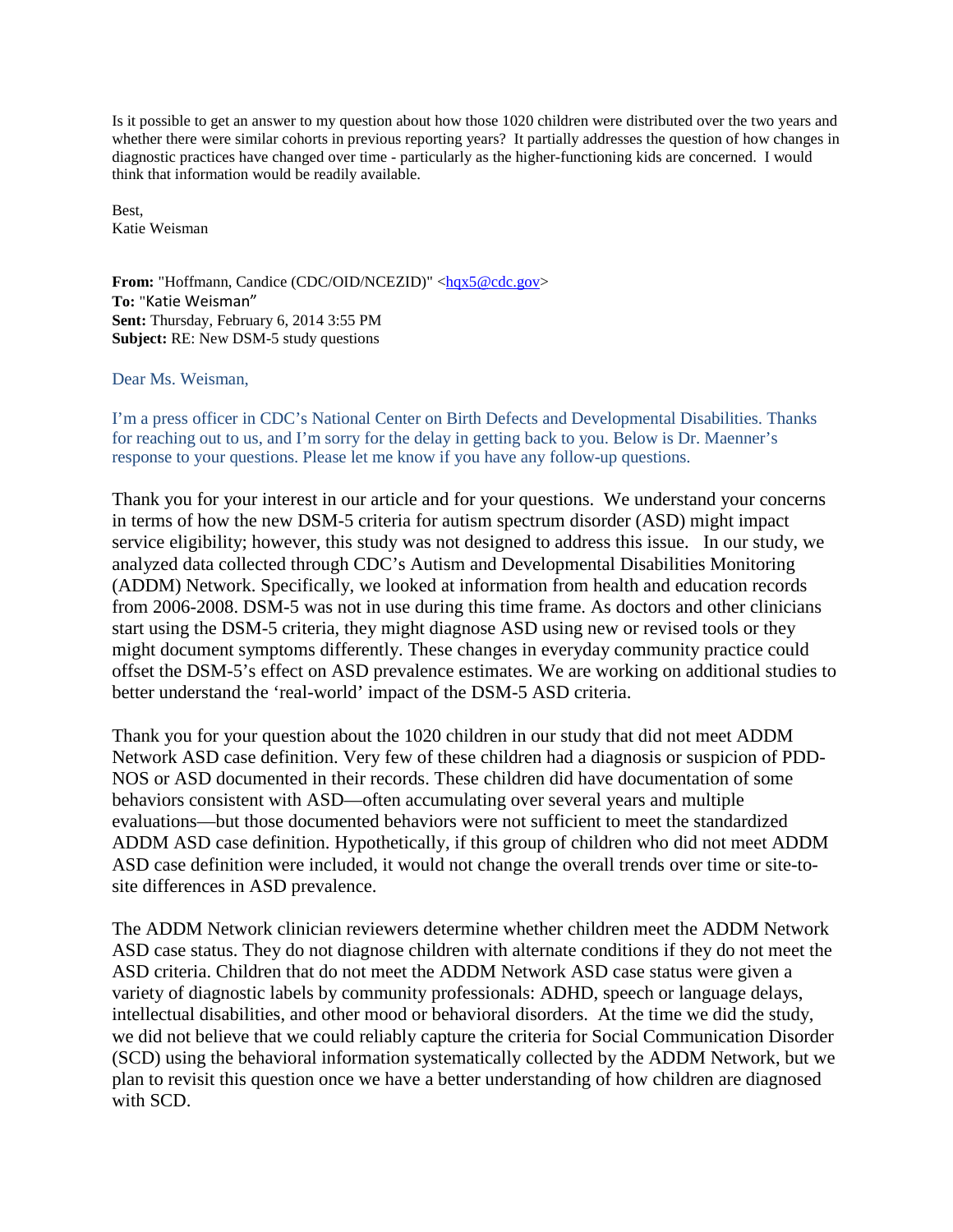Is it possible to get an answer to my question about how those 1020 children were distributed over the two years and whether there were similar cohorts in previous reporting years? It partially addresses the question of how changes in diagnostic practices have changed over time - particularly as the higher-functioning kids are concerned. I would think that information would be readily available.

Best, Katie Weisman

**From:** "Hoffmann, Candice (CDC/OID/NCEZID)" <hax5@cdc.gov> **To:** "Katie Weisman" **Sent:** Thursday, February 6, 2014 3:55 PM **Subject:** RE: New DSM-5 study questions

Dear Ms. Weisman,

I'm a press officer in CDC's National Center on Birth Defects and Developmental Disabilities. Thanks for reaching out to us, and I'm sorry for the delay in getting back to you. Below is Dr. Maenner's response to your questions. Please let me know if you have any follow-up questions.

Thank you for your interest in our article and for your questions. We understand your concerns in terms of how the new DSM-5 criteria for autism spectrum disorder (ASD) might impact service eligibility; however, this study was not designed to address this issue. In our study, we analyzed data collected through CDC's Autism and Developmental Disabilities Monitoring (ADDM) Network. Specifically, we looked at information from health and education records from 2006-2008. DSM-5 was not in use during this time frame. As doctors and other clinicians start using the DSM-5 criteria, they might diagnose ASD using new or revised tools or they might document symptoms differently. These changes in everyday community practice could offset the DSM-5's effect on ASD prevalence estimates. We are working on additional studies to better understand the 'real-world' impact of the DSM-5 ASD criteria.

Thank you for your question about the 1020 children in our study that did not meet ADDM Network ASD case definition. Very few of these children had a diagnosis or suspicion of PDD-NOS or ASD documented in their records. These children did have documentation of some behaviors consistent with ASD—often accumulating over several years and multiple evaluations—but those documented behaviors were not sufficient to meet the standardized ADDM ASD case definition. Hypothetically, if this group of children who did not meet ADDM ASD case definition were included, it would not change the overall trends over time or site-tosite differences in ASD prevalence.

The ADDM Network clinician reviewers determine whether children meet the ADDM Network ASD case status. They do not diagnose children with alternate conditions if they do not meet the ASD criteria. Children that do not meet the ADDM Network ASD case status were given a variety of diagnostic labels by community professionals: ADHD, speech or language delays, intellectual disabilities, and other mood or behavioral disorders. At the time we did the study, we did not believe that we could reliably capture the criteria for Social Communication Disorder (SCD) using the behavioral information systematically collected by the ADDM Network, but we plan to revisit this question once we have a better understanding of how children are diagnosed with SCD.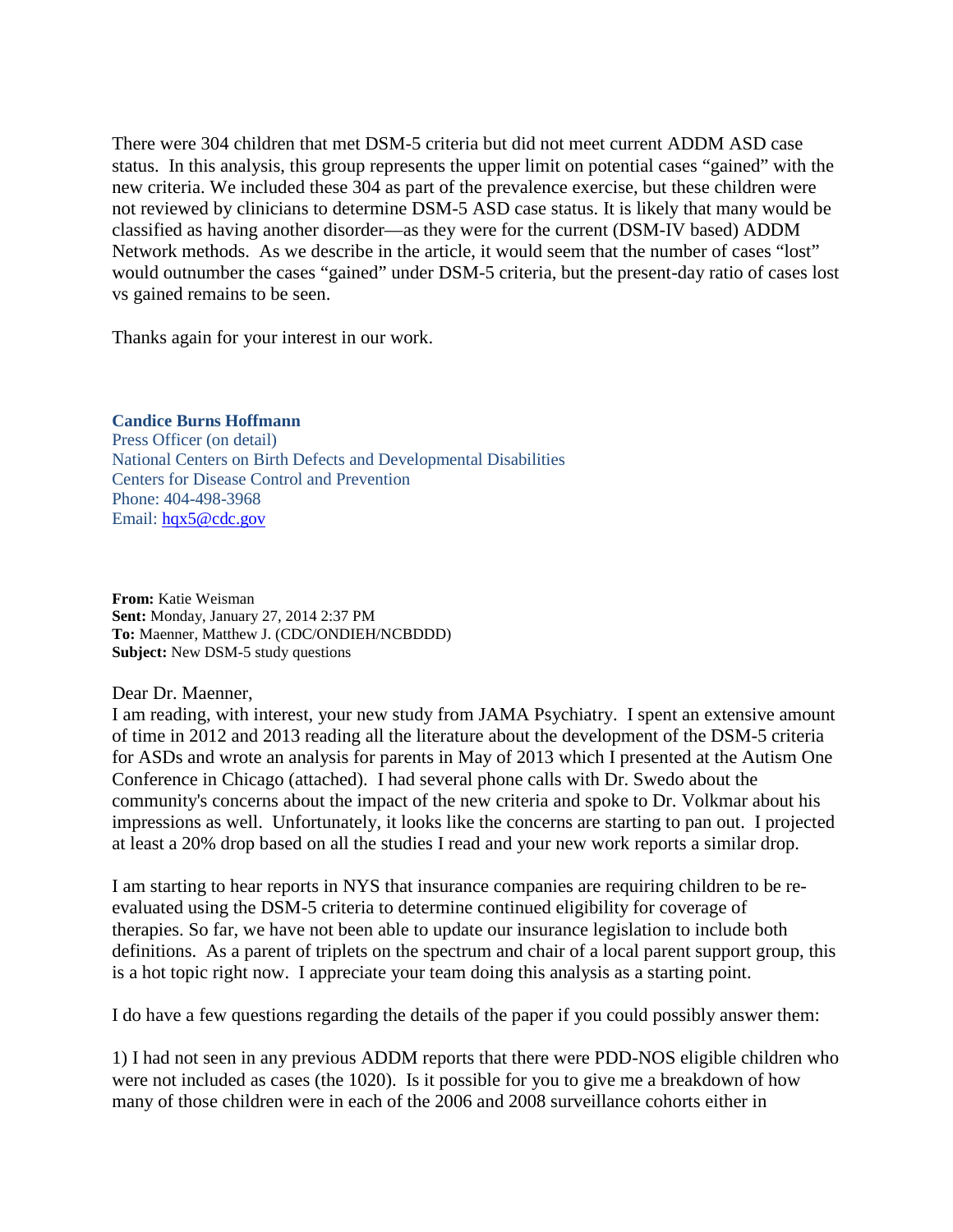There were 304 children that met DSM-5 criteria but did not meet current ADDM ASD case status. In this analysis, this group represents the upper limit on potential cases "gained" with the new criteria. We included these 304 as part of the prevalence exercise, but these children were not reviewed by clinicians to determine DSM-5 ASD case status. It is likely that many would be classified as having another disorder—as they were for the current (DSM-IV based) ADDM Network methods. As we describe in the article, it would seem that the number of cases "lost" would outnumber the cases "gained" under DSM-5 criteria, but the present-day ratio of cases lost vs gained remains to be seen.

Thanks again for your interest in our work.

## **Candice Burns Hoffmann**

Press Officer (on detail) National Centers on Birth Defects and Developmental Disabilities Centers for Disease Control and Prevention Phone: 404-498-3968 Email: [hqx5@cdc.gov](mailto:hqx5@cdc.gov)

**From:** Katie Weisman **Sent:** Monday, January 27, 2014 2:37 PM **To:** Maenner, Matthew J. (CDC/ONDIEH/NCBDDD) **Subject:** New DSM-5 study questions

Dear Dr. Maenner,

I am reading, with interest, your new study from JAMA Psychiatry. I spent an extensive amount of time in 2012 and 2013 reading all the literature about the development of the DSM-5 criteria for ASDs and wrote an analysis for parents in May of 2013 which I presented at the Autism One Conference in Chicago (attached). I had several phone calls with Dr. Swedo about the community's concerns about the impact of the new criteria and spoke to Dr. Volkmar about his impressions as well. Unfortunately, it looks like the concerns are starting to pan out. I projected at least a 20% drop based on all the studies I read and your new work reports a similar drop.

I am starting to hear reports in NYS that insurance companies are requiring children to be reevaluated using the DSM-5 criteria to determine continued eligibility for coverage of therapies. So far, we have not been able to update our insurance legislation to include both definitions. As a parent of triplets on the spectrum and chair of a local parent support group, this is a hot topic right now. I appreciate your team doing this analysis as a starting point.

I do have a few questions regarding the details of the paper if you could possibly answer them:

1) I had not seen in any previous ADDM reports that there were PDD-NOS eligible children who were not included as cases (the 1020). Is it possible for you to give me a breakdown of how many of those children were in each of the 2006 and 2008 surveillance cohorts either in